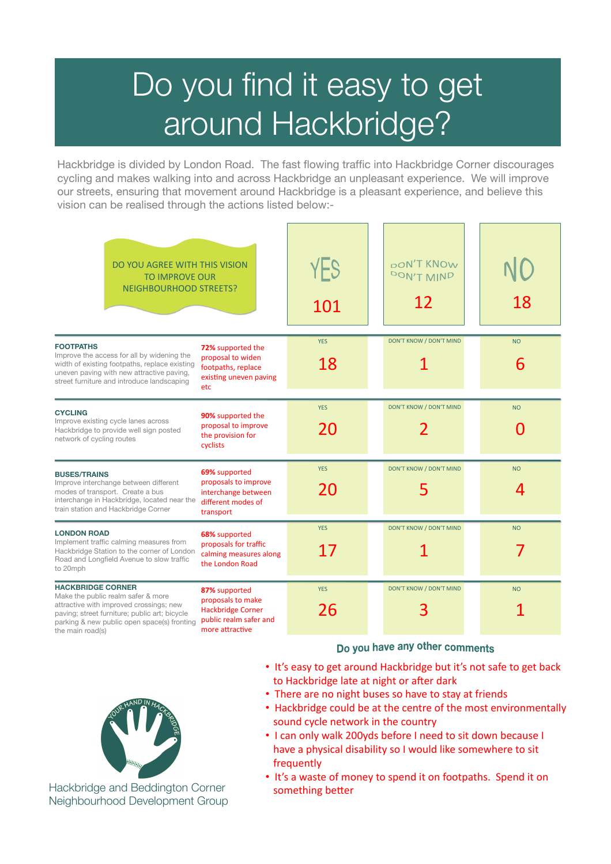# Do you find it easy to get around Hackbridge?

Hackbridge is divided by London Road. The fast flowing traffic into Hackbridge Corner discourages cycling and makes walking into and across Hackbridge an unpleasant experience. We will improve our streets, ensuring that movement around Hackbridge is a pleasant experience, and believe this vision can be realised through the actions listed below:-

| DO YOU AGREE WITH THIS VISION<br><b>TO IMPROVE OUR</b><br>NEIGHBOURHOOD STREETS?                                                                                                                                              |                                                                                                             | YES<br>101       | pon't KNOw<br>DON'T MIND<br>12           | 18             |
|-------------------------------------------------------------------------------------------------------------------------------------------------------------------------------------------------------------------------------|-------------------------------------------------------------------------------------------------------------|------------------|------------------------------------------|----------------|
| <b>FOOTPATHS</b><br>Improve the access for all by widening the<br>width of existing footpaths, replace existing<br>uneven paving with new attractive paving,<br>street furniture and introduce landscaping                    | 72% supported the<br>proposal to widen<br>footpaths, replace<br>existing uneven paving<br>etc               | <b>YES</b><br>18 | DON'T KNOW / DON'T MIND                  | <b>NO</b><br>6 |
| <b>CYCLING</b><br>Improve existing cycle lanes across<br>Hackbridge to provide well sign posted<br>network of cycling routes                                                                                                  | 90% supported the<br>proposal to improve<br>the provision for<br>cyclists                                   | <b>YES</b><br>20 | DON'T KNOW / DON'T MIND<br>$\mathcal{P}$ | <b>NO</b>      |
| <b>BUSES/TRAINS</b><br>Improve interchange between different<br>modes of transport. Create a bus<br>interchange in Hackbridge, located near the<br>train station and Hackbridge Corner                                        | 69% supported<br>proposals to improve<br>interchange between<br>different modes of<br>transport             | <b>YES</b><br>20 | DON'T KNOW / DON'T MIND<br>5             | <b>NO</b><br>4 |
| <b>LONDON ROAD</b><br>Implement traffic calming measures from<br>Hackbridge Station to the corner of London<br>Road and Longfield Avenue to slow traffic<br>to 20mph                                                          | 68% supported<br>proposals for traffic<br>calming measures along<br>the London Road                         | <b>YES</b><br>17 | DON'T KNOW / DON'T MIND                  | <b>NO</b>      |
| <b>HACKBRIDGE CORNER</b><br>Make the public realm safer & more<br>attractive with improved crossings; new<br>paving; street furniture; public art; bicycle<br>parking & new public open space(s) fronting<br>the main road(s) | 87% supported<br>proposals to make<br><b>Hackbridge Corner</b><br>public realm safer and<br>more attractive | <b>YES</b><br>26 | DON'T KNOW / DON'T MIND<br>3             | <b>NO</b>      |



- It's easy to get around Hackbridge but it's not safe to get back to Hackbridge late at night or after dark
- There are no night buses so have to stay at friends
- Hackbridge could be at the centre of the most environmentally sound cycle network in the country
- I can only walk 200yds before I need to sit down because I have a physical disability so I would like somewhere to sit frequently
- It's a waste of money to spend it on footpaths. Spend it on something better

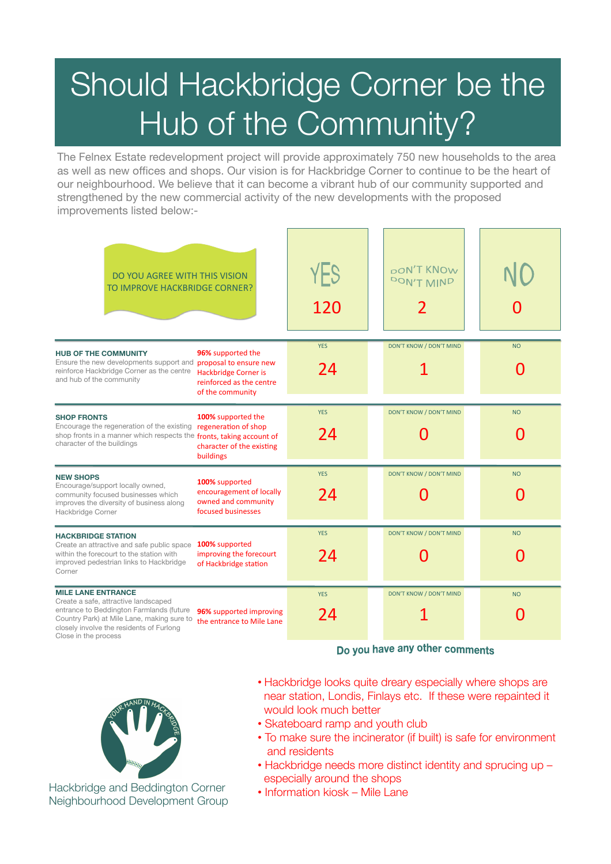# Should Hackbridge Corner be the Hub of the Community?

The Felnex Estate redevelopment project will provide approximately 750 new households to the area as well as new offices and shops. Our vision is for Hackbridge Corner to continue to be the heart of our neighbourhood. We believe that it can become a vibrant hub of our community supported and strengthened by the new commercial activity of the new developments with the proposed improvements listed below:-

| DO YOU AGREE WITH THIS VISION<br>TO IMPROVE HACKBRIDGE CORNER?                                                                                                                                                                                                                          | YES<br>120       | pon't KNOw<br>DON'T MIND       |           |
|-----------------------------------------------------------------------------------------------------------------------------------------------------------------------------------------------------------------------------------------------------------------------------------------|------------------|--------------------------------|-----------|
| 96% supported the<br><b>HUB OF THE COMMUNITY</b><br>Ensure the new developments support and proposal to ensure new<br>reinforce Hackbridge Corner as the centre<br>Hackbridge Corner is<br>and hub of the community<br>reinforced as the centre<br>of the community                     | <b>YES</b><br>24 | DON'T KNOW / DON'T MIND        | <b>NO</b> |
| 100% supported the<br><b>SHOP FRONTS</b><br>Encourage the regeneration of the existing<br>regeneration of shop<br>shop fronts in a manner which respects the fronts, taking account of<br>character of the buildings<br>character of the existing<br>buildings                          | <b>YES</b><br>24 | DON'T KNOW / DON'T MIND        | <b>NO</b> |
| <b>NEW SHOPS</b><br>100% supported<br>Encourage/support locally owned,<br>encouragement of locally<br>community focused businesses which<br>owned and community<br>improves the diversity of business along<br>focused businesses<br>Hackbridge Corner                                  | <b>YES</b><br>24 | DON'T KNOW / DON'T MIND<br>O   | <b>NO</b> |
| <b>HACKBRIDGE STATION</b><br>100% supported<br>Create an attractive and safe public space<br>within the forecourt to the station with<br>improving the forecourt<br>improved pedestrian links to Hackbridge<br>of Hackbridge station<br>Corner                                          | <b>YES</b><br>24 | DON'T KNOW / DON'T MIND        | <b>NO</b> |
| <b>MILE LANE ENTRANCE</b><br>Create a safe, attractive landscaped<br>entrance to Beddington Farmlands (future<br>96% supported improving<br>Country Park) at Mile Lane, making sure to<br>the entrance to Mile Lane<br>closely involve the residents of Furlong<br>Close in the process | <b>YES</b><br>24 | <b>DON'T KNOW / DON'T MIND</b> | <b>NO</b> |

Do you have any other comments



- Hackbridge looks quite dreary especially where shops are near station, Londis, Finlays etc. If these were repainted it would look much better
- Skateboard ramp and youth club
- To make sure the incinerator (if built) is safe for environment and residents
- Hackbridge needs more distinct identity and sprucing up especially around the shops
- Information kiosk Mile Lane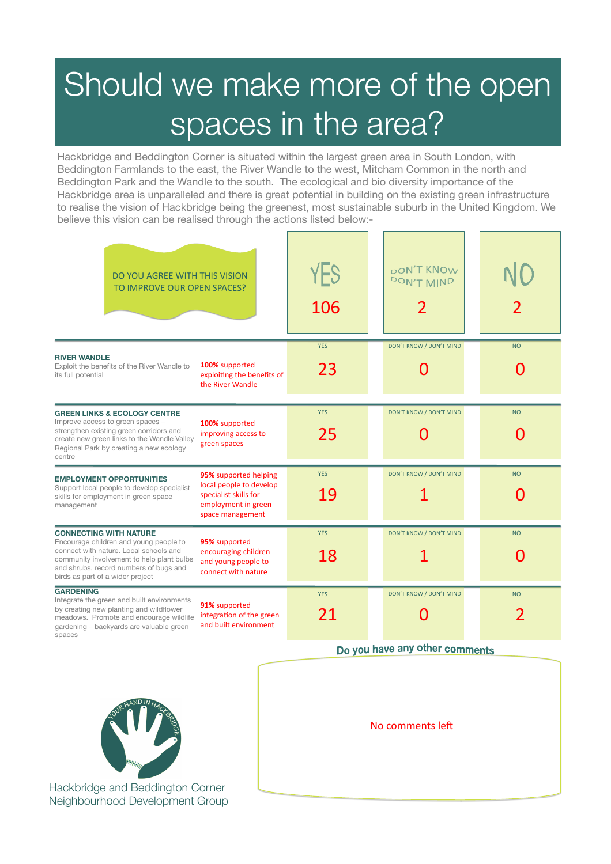## Should we make more of the open spaces in the area?

Hackbridge and Beddington Corner is situated within the largest green area in South London, with Beddington Farmlands to the east, the River Wandle to the west, Mitcham Common in the north and Beddington Park and the Wandle to the south. The ecological and bio diversity importance of the Hackbridge area is unparalleled and there is great potential in building on the existing green infrastructure to realise the vision of Hackbridge being the greenest, most sustainable suburb in the United Kingdom. We believe this vision can be realised through the actions listed below:-

| DO YOU AGREE WITH THIS VISION<br>TO IMPROVE OUR OPEN SPACES?                                                                                                                                                                                 |                                                                                                                      | YES<br>106       | poN'T KNOW<br>DON'T MIND |           |
|----------------------------------------------------------------------------------------------------------------------------------------------------------------------------------------------------------------------------------------------|----------------------------------------------------------------------------------------------------------------------|------------------|--------------------------|-----------|
| <b>RIVER WANDLE</b><br>Exploit the benefits of the River Wandle to<br>its full potential                                                                                                                                                     | 100% supported<br>exploiting the benefits of<br>the River Wandle                                                     | <b>YES</b><br>23 | DON'T KNOW / DON'T MIND  | <b>NO</b> |
| <b>GREEN LINKS &amp; ECOLOGY CENTRE</b><br>Improve access to green spaces -<br>strengthen existing green corridors and<br>create new green links to the Wandle Valley<br>Regional Park by creating a new ecology<br>centre                   | 100% supported<br>improving access to<br>green spaces                                                                | <b>YES</b><br>25 | DON'T KNOW / DON'T MIND  | <b>NO</b> |
| <b>EMPLOYMENT OPPORTUNITIES</b><br>Support local people to develop specialist<br>skills for employment in green space<br>management                                                                                                          | 95% supported helping<br>local people to develop<br>specialist skills for<br>employment in green<br>space management | <b>YES</b><br>19 | DON'T KNOW / DON'T MIND  | <b>NO</b> |
| <b>CONNECTING WITH NATURE</b><br>Encourage children and young people to<br>connect with nature. Local schools and<br>community involvement to help plant bulbs<br>and shrubs, record numbers of bugs and<br>birds as part of a wider project | 95% supported<br>encouraging children<br>and young people to<br>connect with nature                                  | <b>YES</b><br>18 | DON'T KNOW / DON'T MIND  | <b>NO</b> |
| <b>GARDENING</b><br>Integrate the green and built environments<br>by creating new planting and wildflower<br>meadows. Promote and encourage wildlife<br>gardening - backyards are valuable green<br>spaces                                   | 91% supported<br>integration of the green<br>and built environment                                                   | <b>YES</b><br>21 | DON'T KNOW / DON'T MIND  | <b>NO</b> |

#### Do you have any other comments



Hackbridge and Beddington Corner Neighbourhood Development Group No comments left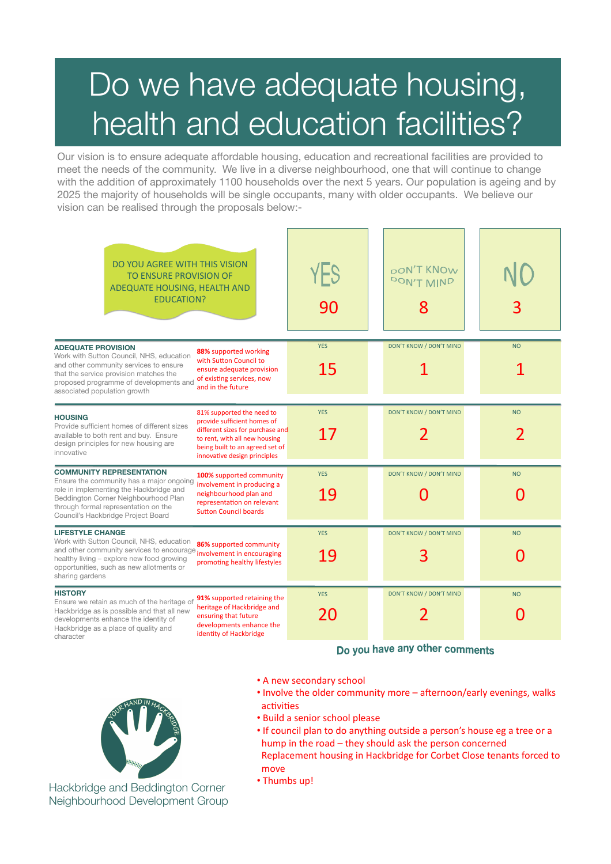## Do we have adequate housing, health and education facilities?

Our vision is to ensure adequate affordable housing, education and recreational facilities are provided to meet the needs of the community. We live in a diverse neighbourhood, one that will continue to change with the addition of approximately 1100 households over the next 5 years. Our population is ageing and by 2025 the majority of households will be single occupants, many with older occupants. We believe our vision can be realised through the proposals below:-

| DO YOU AGREE WITH THIS VISION<br><b>TO ENSURE PROVISION OF</b><br>ADEQUATE HOUSING, HEALTH AND<br><b>EDUCATION?</b>                                                                                                                                                                                                                                                                            | YES<br>90        | <b>pON'T KNOW</b><br>DON'T MIND<br>8 | 3         |
|------------------------------------------------------------------------------------------------------------------------------------------------------------------------------------------------------------------------------------------------------------------------------------------------------------------------------------------------------------------------------------------------|------------------|--------------------------------------|-----------|
| <b>ADEQUATE PROVISION</b><br>88% supported working<br>Work with Sutton Council, NHS, education<br>with Sutton Council to<br>and other community services to ensure<br>ensure adequate provision<br>that the service provision matches the<br>of existing services, now<br>proposed programme of developments and<br>and in the future<br>associated population growth                          | <b>YES</b><br>15 | DON'T KNOW / DON'T MIND              | <b>NO</b> |
| 81% supported the need to<br><b>HOUSING</b><br>provide sufficient homes of<br>Provide sufficient homes of different sizes<br>different sizes for purchase and<br>available to both rent and buy. Ensure<br>to rent, with all new housing<br>design principles for new housing are<br>being built to an agreed set of<br>innovative<br>innovative design principles                             | <b>YES</b><br>17 | DON'T KNOW / DON'T MIND              | <b>NO</b> |
| <b>COMMUNITY REPRESENTATION</b><br>100% supported community<br>Ensure the community has a major ongoing<br>involvement in producing a<br>role in implementing the Hackbridge and<br>neighbourhood plan and<br>Beddington Corner Neighbourhood Plan<br>representation on relevant<br>through formal representation on the<br><b>Sutton Council boards</b><br>Council's Hackbridge Project Board | <b>YES</b><br>19 | <b>DON'T KNOW / DON'T MIND</b><br>N  | <b>NO</b> |
| <b>LIFESTYLE CHANGE</b><br>Work with Sutton Council, NHS, education<br>86% supported community<br>and other community services to encourage <i>involvement in encouraging</i><br>healthy living - explore new food growing<br>promoting healthy lifestyles<br>opportunities, such as new allotments or<br>sharing gardens                                                                      | <b>YES</b><br>19 | DON'T KNOW / DON'T MIND<br>3         | <b>NO</b> |
| <b>HISTORY</b><br>91% supported retaining the<br>Ensure we retain as much of the heritage of<br>heritage of Hackbridge and<br>Hackbridge as is possible and that all new<br>ensuring that future<br>developments enhance the identity of<br>developments enhance the<br>Hackbridge as a place of quality and<br>identity of Hackbridge<br>character                                            | <b>YES</b><br>20 | DON'T KNOW / DON'T MIND<br>2         | <b>NO</b> |

Do you have any other comments

- A new secondary school
- Involve the older community more afternoon/early evenings, walks activities
- Build a senior school please
- If council plan to do anything outside a person's house eg a tree or a hump in the road  $-$  they should ask the person concerned Replacement housing in Hackbridge for Corbet Close tenants forced to move
- Thumbs up!